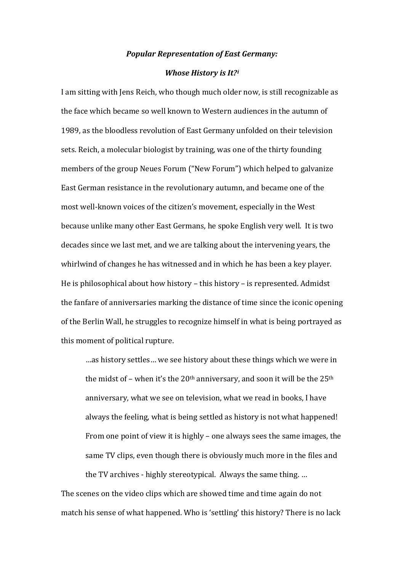#### *Popular Representation of East Germany:*

### *Whose History is It?[i](#page-9-0)*

I am sitting with Jens Reich, who though much older now, is still recognizable as the face which became so well known to Western audiences in the autumn of 1989, as the bloodless revolution of East Germany unfolded on their television sets. Reich, a molecular biologist by training, was one of the thirty founding members of the group Neues Forum ("New Forum") which helped to galvanize East German resistance in the revolutionary autumn, and became one of the most well-known voices of the citizen's movement, especially in the West because unlike many other East Germans, he spoke English very well. It is two decades since we last met, and we are talking about the intervening years, the whirlwind of changes he has witnessed and in which he has been a key player. He is philosophical about how history – this history – is represented. Admidst the fanfare of anniversaries marking the distance of time since the iconic opening of the Berlin Wall, he struggles to recognize himself in what is being portrayed as this moment of political rupture.

…as history settles… we see history about these things which we were in the midst of – when it's the  $20<sup>th</sup>$  anniversary, and soon it will be the  $25<sup>th</sup>$ anniversary, what we see on television, what we read in books, I have always the feeling, what is being settled as history is not what happened! From one point of view it is highly – one always sees the same images, the same TV clips, even though there is obviously much more in the files and the TV archives - highly stereotypical. Always the same thing. …

The scenes on the video clips which are showed time and time again do not match his sense of what happened. Who is 'settling' this history? There is no lack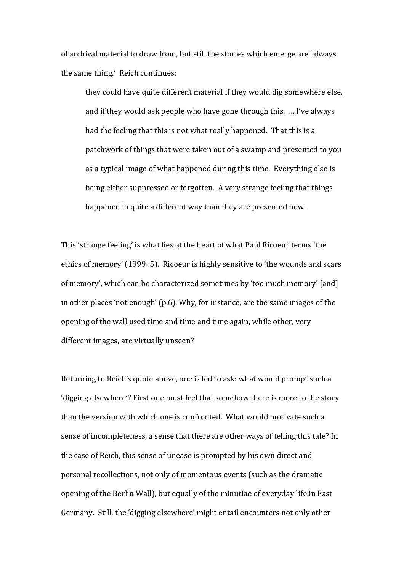of archival material to draw from, but still the stories which emerge are 'always the same thing.' Reich continues:

they could have quite different material if they would dig somewhere else, and if they would ask people who have gone through this. … I've always had the feeling that this is not what really happened. That this is a patchwork of things that were taken out of a swamp and presented to you as a typical image of what happened during this time. Everything else is being either suppressed or forgotten. A very strange feeling that things happened in quite a different way than they are presented now.

This 'strange feeling' is what lies at the heart of what Paul Ricoeur terms 'the ethics of memory' (1999: 5). Ricoeur is highly sensitive to 'the wounds and scars of memory', which can be characterized sometimes by 'too much memory' [and] in other places 'not enough' (p.6). Why, for instance, are the same images of the opening of the wall used time and time and time again, while other, very different images, are virtually unseen?

Returning to Reich's quote above, one is led to ask: what would prompt such a 'digging elsewhere'? First one must feel that somehow there is more to the story than the version with which one is confronted. What would motivate such a sense of incompleteness, a sense that there are other ways of telling this tale? In the case of Reich, this sense of unease is prompted by his own direct and personal recollections, not only of momentous events (such as the dramatic opening of the Berlin Wall), but equally of the minutiae of everyday life in East Germany. Still, the 'digging elsewhere' might entail encounters not only other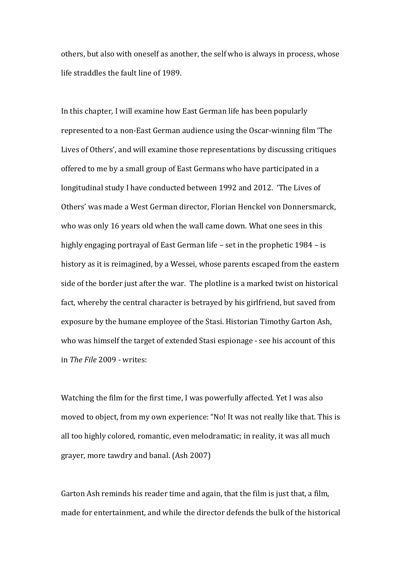others, but also with oneself as another, the self who is always in process, whose life straddles the fault line of 1989.

In this chapter, I will examine how East German life has been popularly represented to a non-East German audience using the Oscar-winning film 'The Lives of Others', and will examine those representations by discussing critiques offered to me by a small group of East Germans who have participated in a longitudinal study I have conducted between 1992 and 2012. 'The Lives of Others' was made a West German director, Florian Henckel von Donnersmarck, who was only 16 years old when the wall came down. What one sees in this highly engaging portrayal of East German life – set in the prophetic 1984 – is history as it is reimagined, by a Wessei, whose parents escaped from the eastern side of the border just after the war. The plotline is a marked twist on historical fact, whereby the central character is betrayed by his girlfriend, but saved from exposure by the humane employee of the Stasi. Historian Timothy Garton Ash, who was himself the target of extended Stasi espionage - see his account of this in *The File* 2009 - writes:

Watching the film for the first time, I was powerfully affected. Yet I was also moved to object, from my own experience: "No! It was not really like that. This is all too highly colored, romantic, even melodramatic; in reality, it was all much grayer, more tawdry and banal. (Ash 2007)

Garton Ash reminds his reader time and again, that the film is just that, a film, made for entertainment, and while the director defends the bulk of the historical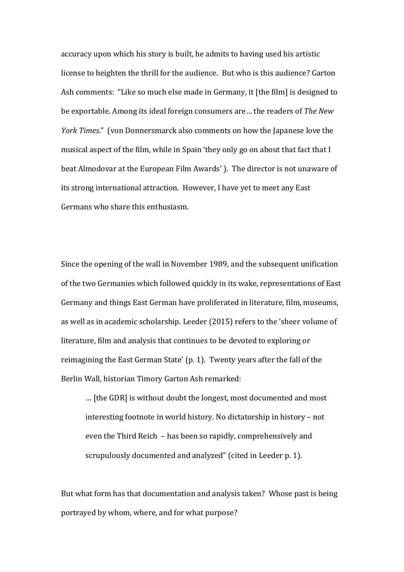accuracy upon which his story is built, he admits to having used his artistic license to heighten the thrill for the audience. But who is this audience? Garton Ash comments: "Like so much else made in Germany, it [the film] is designed to be exportable. Among its ideal foreign consumers are… the readers of *The New York Times*." (von Donnersmarck also comments on how the Japanese love the musical aspect of the film, while in Spain 'they only go on about that fact that I beat Almodovar at the European Film Awards' ). The director is not unaware of its strong international attraction. However, I have yet to meet any East Germans who share this enthusiasm.

Since the opening of the wall in November 1989, and the subsequent unification of the two Germanies which followed quickly in its wake, representations of East Germany and things East German have proliferated in literature, film, museums, as well as in academic scholarship. Leeder (2015) refers to the 'sheer volume of literature, film and analysis that continues to be devoted to exploring or reimagining the East German State' (p. 1). Twenty years after the fall of the Berlin Wall, historian Timory Garton Ash remarked:

… [the GDR] is without doubt the longest, most documented and most interesting footnote in world history. No dictatorship in history – not even the Third Reich – has been so rapidly, comprehensively and scrupulously documented and analyzed" (cited in Leeder p. 1).

But what form has that documentation and analysis taken? Whose past is being portrayed by whom, where, and for what purpose?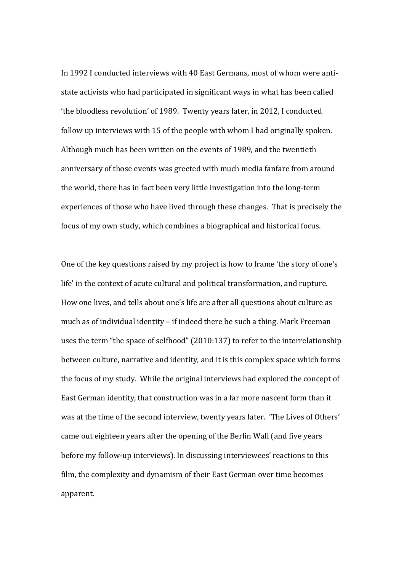In 1992 I conducted interviews with 40 East Germans, most of whom were antistate activists who had participated in significant ways in what has been called 'the bloodless revolution' of 1989. Twenty years later, in 2012, I conducted follow up interviews with 15 of the people with whom I had originally spoken. Although much has been written on the events of 1989, and the twentieth anniversary of those events was greeted with much media fanfare from around the world, there has in fact been very little investigation into the long-term experiences of those who have lived through these changes. That is precisely the focus of my own study, which combines a biographical and historical focus.

One of the key questions raised by my project is how to frame 'the story of one's life' in the context of acute cultural and political transformation, and rupture. How one lives, and tells about one's life are after all questions about culture as much as of individual identity – if indeed there be such a thing. Mark Freeman uses the term "the space of selfhood" (2010:137) to refer to the interrelationship between culture, narrative and identity, and it is this complex space which forms the focus of my study. While the original interviews had explored the concept of East German identity, that construction was in a far more nascent form than it was at the time of the second interview, twenty years later. 'The Lives of Others' came out eighteen years after the opening of the Berlin Wall (and five years before my follow-up interviews). In discussing interviewees' reactions to this film, the complexity and dynamism of their East German over time becomes apparent.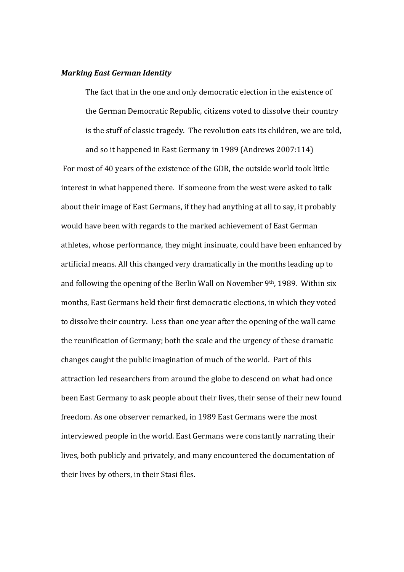### *Marking East German Identity*

The fact that in the one and only democratic election in the existence of the German Democratic Republic, citizens voted to dissolve their country is the stuff of classic tragedy. The revolution eats its children, we are told,

and so it happened in East Germany in 1989 (Andrews 2007:114) For most of 40 years of the existence of the GDR, the outside world took little interest in what happened there. If someone from the west were asked to talk about their image of East Germans, if they had anything at all to say, it probably would have been with regards to the marked achievement of East German athletes, whose performance, they might insinuate, could have been enhanced by artificial means. All this changed very dramatically in the months leading up to and following the opening of the Berlin Wall on November 9<sup>th</sup>, 1989. Within six months, East Germans held their first democratic elections, in which they voted to dissolve their country. Less than one year after the opening of the wall came the reunification of Germany; both the scale and the urgency of these dramatic changes caught the public imagination of much of the world. Part of this attraction led researchers from around the globe to descend on what had once been East Germany to ask people about their lives, their sense of their new found freedom. As one observer remarked, in 1989 East Germans were the most interviewed people in the world. East Germans were constantly narrating their lives, both publicly and privately, and many encountered the documentation of their lives by others, in their Stasi files.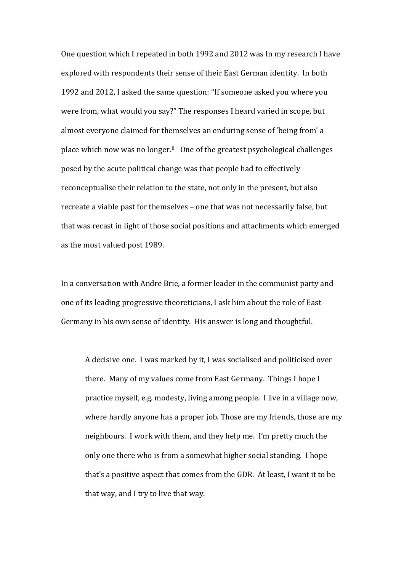One question which I repeated in both 1992 and 2012 was In my research I have explored with respondents their sense of their East German identity. In both 1992 and 2012, I asked the same question: "If someone asked you where you were from, what would you say?" The responses I heard varied in scope, but almost everyone claimed for themselves an enduring sense of 'being from' a place which now was no longer.<sup>ii</sup> One of the greatest psychological challenges posed by the acute political change was that people had to effectively reconceptualise their relation to the state, not only in the present, but also recreate a viable past for themselves – one that was not necessarily false, but that was recast in light of those social positions and attachments which emerged as the most valued post 1989.

In a conversation with Andre Brie, a former leader in the communist party and one of its leading progressive theoreticians, I ask him about the role of East Germany in his own sense of identity. His answer is long and thoughtful.

A decisive one. I was marked by it, I was socialised and politicised over there. Many of my values come from East Germany. Things I hope I practice myself, e.g. modesty, living among people. I live in a village now, where hardly anyone has a proper job. Those are my friends, those are my neighbours. I work with them, and they help me. I'm pretty much the only one there who is from a somewhat higher social standing. I hope that's a positive aspect that comes from the GDR. At least, I want it to be that way, and I try to live that way.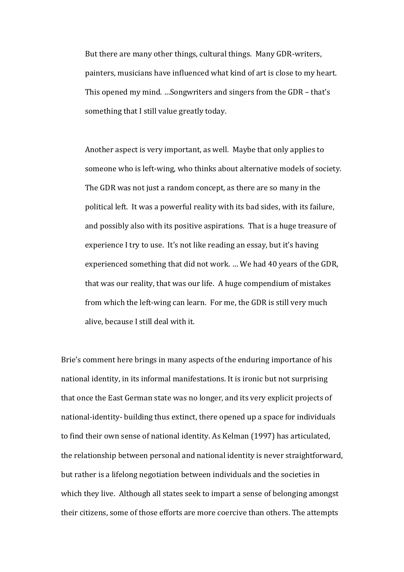But there are many other things, cultural things. Many GDR-writers, painters, musicians have influenced what kind of art is close to my heart. This opened my mind. …Songwriters and singers from the GDR – that's something that I still value greatly today.

Another aspect is very important, as well. Maybe that only applies to someone who is left-wing, who thinks about alternative models of society. The GDR was not just a random concept, as there are so many in the political left. It was a powerful reality with its bad sides, with its failure, and possibly also with its positive aspirations. That is a huge treasure of experience I try to use. It's not like reading an essay, but it's having experienced something that did not work. … We had 40 years of the GDR, that was our reality, that was our life. A huge compendium of mistakes from which the left-wing can learn. For me, the GDR is still very much alive, because I still deal with it.

Brie's comment here brings in many aspects of the enduring importance of his national identity, in its informal manifestations. It is ironic but not surprising that once the East German state was no longer, and its very explicit projects of national-identity- building thus extinct, there opened up a space for individuals to find their own sense of national identity. As Kelman (1997) has articulated, the relationship between personal and national identity is never straightforward, but rather is a lifelong negotiation between individuals and the societies in which they live. Although all states seek to impart a sense of belonging amongst their citizens, some of those efforts are more coercive than others. The attempts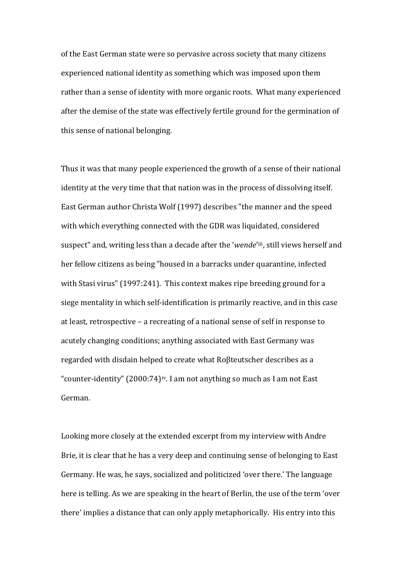of the East German state were so pervasive across society that many citizens experienced national identity as something which was imposed upon them rather than a sense of identity with more organic roots. What many experienced after the demise of the state was effectively fertile ground for the germination of this sense of national belonging.

Thus it was that many people experienced the growth of a sense of their national identity at the very time that that nation was in the process of dissolving itself. East German author Christa Wolf (1997) describes "the manner and the speed with which everything connected with the GDR was liquidated, considered suspect" and, writing less than a decade after the '*wende*'[iii](#page-9-2), still views herself and her fellow citizens as being "housed in a barracks under quarantine, infected with Stasi virus" (1997:241). This context makes ripe breeding ground for a siege mentality in which self-identification is primarily reactive, and in this case at least, retrospective – a recreating of a national sense of self in response to acutely changing conditions; anything associated with East Germany was regarded with disdain helped to create what Roβteutscher describes as a "counter-identity" (2000:74)[iv.](#page-9-3) I am not anything so much as I am not East German.

Looking more closely at the extended excerpt from my interview with Andre Brie, it is clear that he has a very deep and continuing sense of belonging to East Germany. He was, he says, socialized and politicized 'over there.' The language here is telling. As we are speaking in the heart of Berlin, the use of the term 'over there' implies a distance that can only apply metaphorically. His entry into this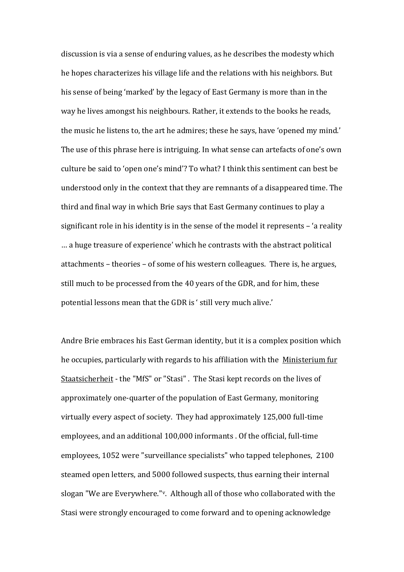<span id="page-9-0"></span>discussion is via a sense of enduring values, as he describes the modesty which he hopes characterizes his village life and the relations with his neighbors. But his sense of being 'marked' by the legacy of East Germany is more than in the way he lives amongst his neighbours. Rather, it extends to the books he reads, the music he listens to, the art he admires; these he says, have 'opened my mind.' The use of this phrase here is intriguing. In what sense can artefacts of one's own culture be said to 'open one's mind'? To what? I think this sentiment can best be understood only in the context that they are remnants of a disappeared time. The third and final way in which Brie says that East Germany continues to play a significant role in his identity is in the sense of the model it represents – 'a reality … a huge treasure of experience' which he contrasts with the abstract political attachments – theories – of some of his western colleagues. There is, he argues, still much to be processed from the 40 years of the GDR, and for him, these potential lessons mean that the GDR is ' still very much alive.'

<span id="page-9-4"></span><span id="page-9-3"></span><span id="page-9-2"></span><span id="page-9-1"></span>Andre Brie embraces his East German identity, but it is a complex position which he occupies, particularly with regards to his affiliation with the Ministerium fur Staatsicherheit - the "MfS" or "Stasi" . The Stasi kept records on the lives of approximately one-quarter of the population of East Germany, monitoring virtually every aspect of society. They had approximately 125,000 full-time employees, and an additional 100,000 informants . Of the official, full-time employees, 1052 were "surveillance specialists" who tapped telephones, 2100 steamed open letters, and 5000 followed suspects, thus earning their internal slogan "We are Everywhere."[v.](#page-9-4) Although all of those who collaborated with the Stasi were strongly encouraged to come forward and to opening acknowledge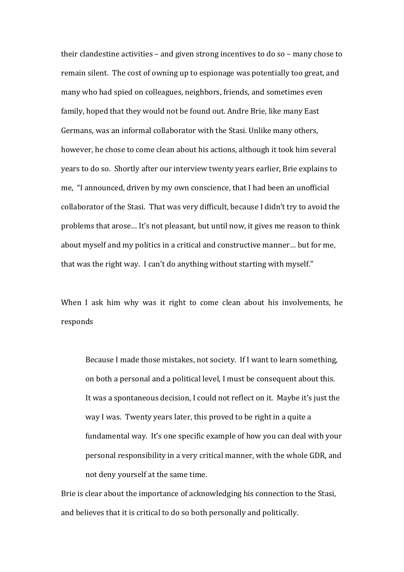their clandestine activities – and given strong incentives to do so – many chose to remain silent. The cost of owning up to espionage was potentially too great, and many who had spied on colleagues, neighbors, friends, and sometimes even family, hoped that they would not be found out. Andre Brie, like many East Germans, was an informal collaborator with the Stasi. Unlike many others, however, he chose to come clean about his actions, although it took him several years to do so. Shortly after our interview twenty years earlier, Brie explains to me, "I announced, driven by my own conscience, that I had been an unofficial collaborator of the Stasi. That was very difficult, because I didn't try to avoid the problems that arose… It's not pleasant, but until now, it gives me reason to think about myself and my politics in a critical and constructive manner… but for me, that was the right way. I can't do anything without starting with myself."

When I ask him why was it right to come clean about his involvements, he responds

<span id="page-10-1"></span><span id="page-10-0"></span>Because I made those mistakes, not society. If I want to learn something, on both a personal and a political level, I must be consequent about this. It was a spontaneous decision, I could not reflect on it. Maybe it's just the way I was. Twenty years later, this proved to be right in a quite a fundamental way. It's one specific example of how you can deal with your personal responsibility in a very critical manner, with the whole GDR, and not deny yourself at the same time.

Brie is clear about the importance of acknowledging his connection to the Stasi, and believes that it is critical to do so both personally and politically.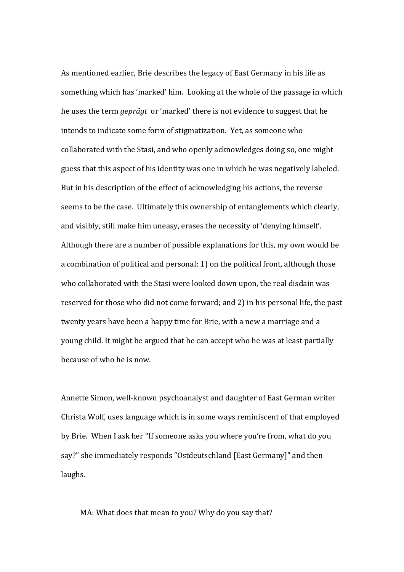As mentioned earlier, Brie describes the legacy of East Germany in his life as something which has 'marked' him. Looking at the whole of the passage in which he uses the term *geprägt* or 'marked' there is not evidence to suggest that he intends to indicate some form of stigmatization. Yet, as someone who collaborated with the Stasi, and who openly acknowledges doing so, one might guess that this aspect of his identity was one in which he was negatively labeled. But in his description of the effect of acknowledging his actions, the reverse seems to be the case. Ultimately this ownership of entanglements which clearly, and visibly, still make him uneasy, erases the necessity of 'denying himself'. Although there are a number of possible explanations for this, my own would be a combination of political and personal: 1) on the political front, although those who collaborated with the Stasi were looked down upon, the real disdain was reserved for those who did not come forward; and 2) in his personal life, the past twenty years have been a happy time for Brie, with a new a marriage and a young child. It might be argued that he can accept who he was at least partially because of who he is now.

Annette Simon, well-known psychoanalyst and daughter of East German writer Christa Wolf, uses language which is in some ways reminiscent of that employed by Brie. When I ask her "If someone asks you where you're from, what do you say?" she immediately responds "Ostdeutschland [East Germany]" and then laughs.

MA: What does that mean to you? Why do you say that?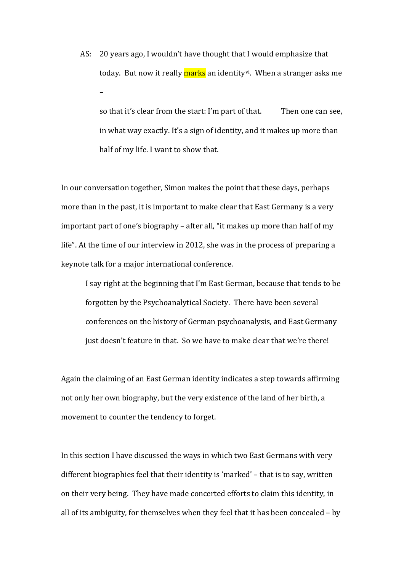AS: 20 years ago, I wouldn't have thought that I would emphasize that today. But now it really marks an identity<sup>[vi](#page-10-0)</sup>. When a stranger asks me –

 so that it's clear from the start: I'm part of that. Then one can see, in what way exactly. It's a sign of identity, and it makes up more than half of my life. I want to show that.

In our conversation together, Simon makes the point that these days, perhaps more than in the past, it is important to make clear that East Germany is a very important part of one's biography – after all, "it makes up more than half of my life". At the time of our interview in 2012, she was in the process of preparing a keynote talk for a major international conference.

I say right at the beginning that I'm East German, because that tends to be forgotten by the Psychoanalytical Society. There have been several conferences on the history of German psychoanalysis, and East Germany just doesn't feature in that. So we have to make clear that we're there!

Again the claiming of an East German identity indicates a step towards affirming not only her own biography, but the very existence of the land of her birth, a movement to counter the tendency to forget.

In this section I have discussed the ways in which two East Germans with very different biographies feel that their identity is 'marked' – that is to say, written on their very being. They have made concerted efforts to claim this identity, in all of its ambiguity, for themselves when they feel that it has been concealed – by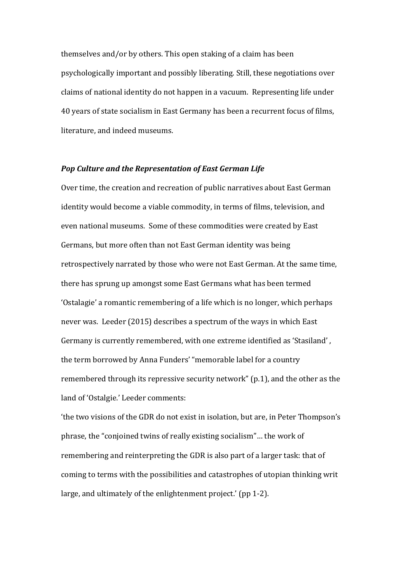themselves and/or by others. This open staking of a claim has been psychologically important and possibly liberating. Still, these negotiations over claims of national identity do not happen in a vacuum. Representing life under 40 years of state socialism in East Germany has been a recurrent focus of films, literature, and indeed museums.

# *Pop Culture and the Representation of East German Life*

Over time, the creation and recreation of public narratives about East German identity would become a viable commodity, in terms of films, television, and even national museums. Some of these commodities were created by East Germans, but more often than not East German identity was being retrospectively narrated by those who were not East German. At the same time, there has sprung up amongst some East Germans what has been termed 'Ostalagie' a romantic remembering of a life which is no longer, which perhaps never was. Leeder (2015) describes a spectrum of the ways in which East Germany is currently remembered, with one extreme identified as 'Stasiland' , the term borrowed by Anna Funders' "memorable label for a country remembered through its repressive security network" (p.1), and the other as the land of 'Ostalgie.' Leeder comments:

'the two visions of the GDR do not exist in isolation, but are, in Peter Thompson's phrase, the "conjoined twins of really existing socialism"… the work of remembering and reinterpreting the GDR is also part of a larger task: that of coming to terms with the possibilities and catastrophes of utopian thinking writ large, and ultimately of the enlightenment project.' (pp 1-2).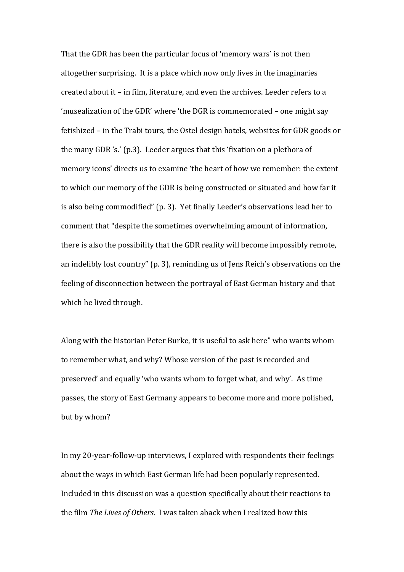That the GDR has been the particular focus of 'memory wars' is not then altogether surprising. It is a place which now only lives in the imaginaries created about it – in film, literature, and even the archives. Leeder refers to a 'musealization of the GDR' where 'the DGR is commemorated – one might say fetishized – in the Trabi tours, the Ostel design hotels, websites for GDR goods or the many GDR 's.' (p.3). Leeder argues that this 'fixation on a plethora of memory icons' directs us to examine 'the heart of how we remember: the extent to which our memory of the GDR is being constructed or situated and how far it is also being commodified" (p. 3). Yet finally Leeder's observations lead her to comment that "despite the sometimes overwhelming amount of information, there is also the possibility that the GDR reality will become impossibly remote, an indelibly lost country" (p. 3), reminding us of Jens Reich's observations on the feeling of disconnection between the portrayal of East German history and that which he lived through.

Along with the historian Peter Burke, it is useful to ask here" who wants whom to remember what, and why? Whose version of the past is recorded and preserved' and equally 'who wants whom to forget what, and why'. As time passes, the story of East Germany appears to become more and more polished, but by whom?

In my 20-year-follow-up interviews, I explored with respondents their feelings about the ways in which East German life had been popularly represented. Included in this discussion was a question specifically about their reactions to the film *The Lives of Others*. I was taken aback when I realized how this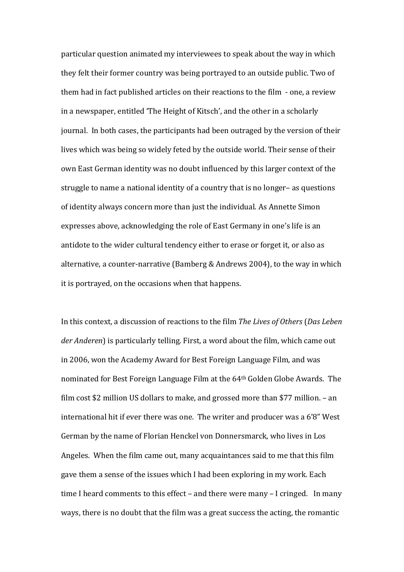particular question animated my interviewees to speak about the way in which they felt their former country was being portrayed to an outside public. Two of them had in fact published articles on their reactions to the film - one, a review in a newspaper, entitled 'The Height of Kitsch', and the other in a scholarly journal. In both cases, the participants had been outraged by the version of their lives which was being so widely feted by the outside world. Their sense of their own East German identity was no doubt influenced by this larger context of the struggle to name a national identity of a country that is no longer– as questions of identity always concern more than just the individual. As Annette Simon expresses above, acknowledging the role of East Germany in one's life is an antidote to the wider cultural tendency either to erase or forget it, or also as alternative, a counter-narrative (Bamberg & Andrews 2004), to the way in which it is portrayed, on the occasions when that happens.

In this context, a discussion of reactions to the film *The Lives of Others* (*Das Leben der Anderen*) is particularly telling. First, a word about the film, which came out in 2006, won the Academy Award for Best Foreign Language Film, and was nominated for Best Foreign Language Film at the 64th Golden Globe Awards. The film cost \$2 million US dollars to make, and grossed more than \$77 million. – an international hit if ever there was one. The writer and producer was a 6'8" West German by the name of Florian Henckel von Donnersmarck, who lives in Los Angeles. When the film came out, many acquaintances said to me that this film gave them a sense of the issues which I had been exploring in my work. Each time I heard comments to this effect – and there were many – I cringed. In many ways, there is no doubt that the film was a great success the acting, the romantic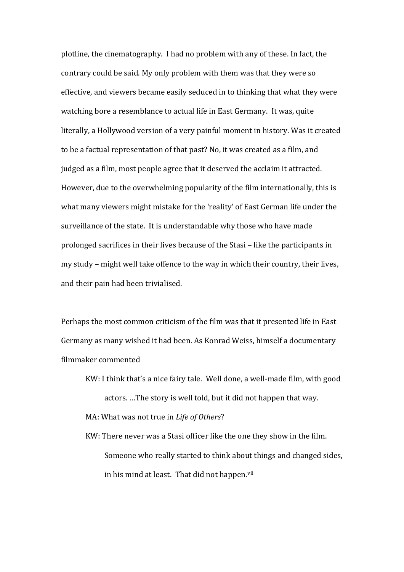plotline, the cinematography. I had no problem with any of these. In fact, the contrary could be said. My only problem with them was that they were so effective, and viewers became easily seduced in to thinking that what they were watching bore a resemblance to actual life in East Germany. It was, quite literally, a Hollywood version of a very painful moment in history. Was it created to be a factual representation of that past? No, it was created as a film, and judged as a film, most people agree that it deserved the acclaim it attracted. However, due to the overwhelming popularity of the film internationally, this is what many viewers might mistake for the 'reality' of East German life under the surveillance of the state. It is understandable why those who have made prolonged sacrifices in their lives because of the Stasi – like the participants in my study – might well take offence to the way in which their country, their lives, and their pain had been trivialised.

Perhaps the most common criticism of the film was that it presented life in East Germany as many wished it had been. As Konrad Weiss, himself a documentary filmmaker commented

- KW: I think that's a nice fairy tale. Well done, a well-made film, with good actors. …The story is well told, but it did not happen that way.
- MA: What was not true in *Life of Others*?
- KW: There never was a Stasi officer like the one they show in the film. Someone who really started to think about things and changed sides, in his mind at least. That did not happen.[vii](#page-10-1)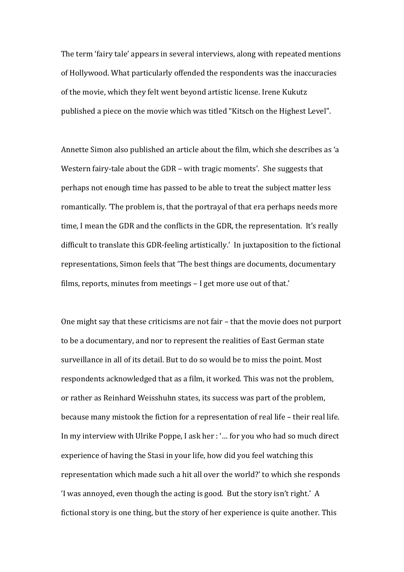The term 'fairy tale' appears in several interviews, along with repeated mentions of Hollywood. What particularly offended the respondents was the inaccuracies of the movie, which they felt went beyond artistic license. Irene Kukutz published a piece on the movie which was titled "Kitsch on the Highest Level".

Annette Simon also published an article about the film, which she describes as 'a Western fairy-tale about the GDR – with tragic moments'. She suggests that perhaps not enough time has passed to be able to treat the subject matter less romantically. 'The problem is, that the portrayal of that era perhaps needs more time, I mean the GDR and the conflicts in the GDR, the representation. It's really difficult to translate this GDR-feeling artistically.' In juxtaposition to the fictional representations, Simon feels that 'The best things are documents, documentary films, reports, minutes from meetings – I get more use out of that.'

One might say that these criticisms are not fair – that the movie does not purport to be a documentary, and nor to represent the realities of East German state surveillance in all of its detail. But to do so would be to miss the point. Most respondents acknowledged that as a film, it worked. This was not the problem, or rather as Reinhard Weisshuhn states, its success was part of the problem, because many mistook the fiction for a representation of real life – their real life. In my interview with Ulrike Poppe, I ask her : '… for you who had so much direct experience of having the Stasi in your life, how did you feel watching this representation which made such a hit all over the world?' to which she responds 'I was annoyed, even though the acting is good. But the story isn't right.' A fictional story is one thing, but the story of her experience is quite another. This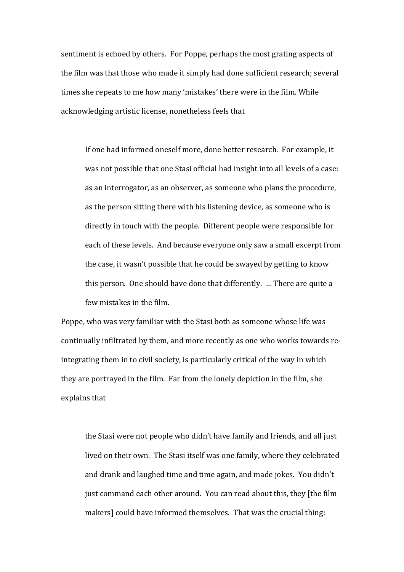sentiment is echoed by others. For Poppe, perhaps the most grating aspects of the film was that those who made it simply had done sufficient research; several times she repeats to me how many 'mistakes' there were in the film. While acknowledging artistic license, nonetheless feels that

If one had informed oneself more, done better research. For example, it was not possible that one Stasi official had insight into all levels of a case: as an interrogator, as an observer, as someone who plans the procedure, as the person sitting there with his listening device, as someone who is directly in touch with the people. Different people were responsible for each of these levels. And because everyone only saw a small excerpt from the case, it wasn't possible that he could be swayed by getting to know this person. One should have done that differently. … There are quite a few mistakes in the film.

Poppe, who was very familiar with the Stasi both as someone whose life was continually infiltrated by them, and more recently as one who works towards reintegrating them in to civil society, is particularly critical of the way in which they are portrayed in the film. Far from the lonely depiction in the film, she explains that

the Stasi were not people who didn't have family and friends, and all just lived on their own. The Stasi itself was one family, where they celebrated and drank and laughed time and time again, and made jokes. You didn't just command each other around. You can read about this, they [the film makers] could have informed themselves. That was the crucial thing: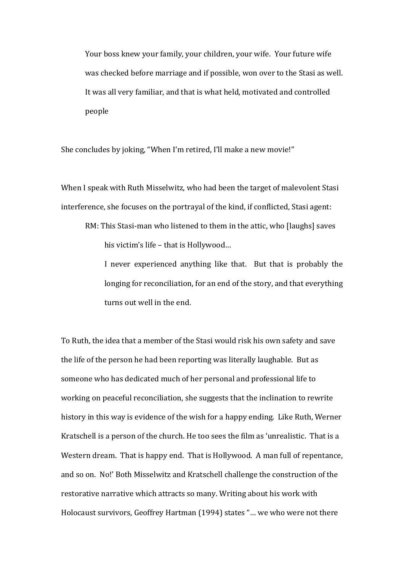Your boss knew your family, your children, your wife. Your future wife was checked before marriage and if possible, won over to the Stasi as well. It was all very familiar, and that is what held, motivated and controlled people

She concludes by joking, "When I'm retired, I'll make a new movie!"

When I speak with Ruth Misselwitz, who had been the target of malevolent Stasi interference, she focuses on the portrayal of the kind, if conflicted, Stasi agent:

RM: This Stasi-man who listened to them in the attic, who [laughs] saves his victim's life – that is Hollywood…

I never experienced anything like that. But that is probably the longing for reconciliation, for an end of the story, and that everything turns out well in the end.

To Ruth, the idea that a member of the Stasi would risk his own safety and save the life of the person he had been reporting was literally laughable. But as someone who has dedicated much of her personal and professional life to working on peaceful reconciliation, she suggests that the inclination to rewrite history in this way is evidence of the wish for a happy ending. Like Ruth, Werner Kratschell is a person of the church. He too sees the film as 'unrealistic. That is a Western dream. That is happy end. That is Hollywood. A man full of repentance, and so on. No!' Both Misselwitz and Kratschell challenge the construction of the restorative narrative which attracts so many. Writing about his work with Holocaust survivors, Geoffrey Hartman (1994) states "… we who were not there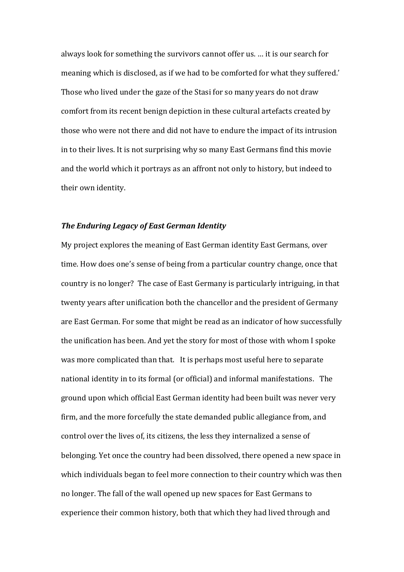always look for something the survivors cannot offer us. … it is our search for meaning which is disclosed, as if we had to be comforted for what they suffered.' Those who lived under the gaze of the Stasi for so many years do not draw comfort from its recent benign depiction in these cultural artefacts created by those who were not there and did not have to endure the impact of its intrusion in to their lives. It is not surprising why so many East Germans find this movie and the world which it portrays as an affront not only to history, but indeed to their own identity.

### *The Enduring Legacy of East German Identity*

My project explores the meaning of East German identity East Germans, over time. How does one's sense of being from a particular country change, once that country is no longer? The case of East Germany is particularly intriguing, in that twenty years after unification both the chancellor and the president of Germany are East German. For some that might be read as an indicator of how successfully the unification has been. And yet the story for most of those with whom I spoke was more complicated than that. It is perhaps most useful here to separate national identity in to its formal (or official) and informal manifestations. The ground upon which official East German identity had been built was never very firm, and the more forcefully the state demanded public allegiance from, and control over the lives of, its citizens, the less they internalized a sense of belonging. Yet once the country had been dissolved, there opened a new space in which individuals began to feel more connection to their country which was then no longer. The fall of the wall opened up new spaces for East Germans to experience their common history, both that which they had lived through and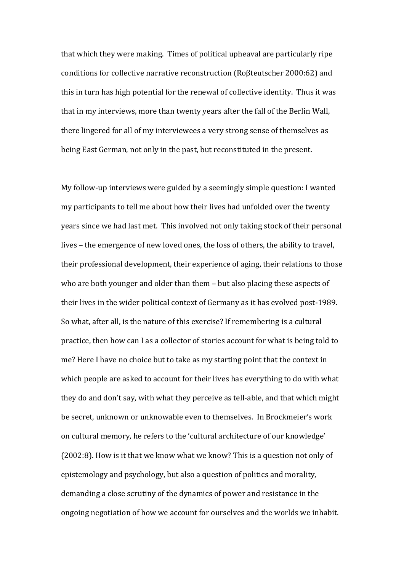that which they were making. Times of political upheaval are particularly ripe conditions for collective narrative reconstruction (Roβteutscher 2000:62) and this in turn has high potential for the renewal of collective identity. Thus it was that in my interviews, more than twenty years after the fall of the Berlin Wall, there lingered for all of my interviewees a very strong sense of themselves as being East German, not only in the past, but reconstituted in the present.

My follow-up interviews were guided by a seemingly simple question: I wanted my participants to tell me about how their lives had unfolded over the twenty years since we had last met. This involved not only taking stock of their personal lives – the emergence of new loved ones, the loss of others, the ability to travel, their professional development, their experience of aging, their relations to those who are both younger and older than them – but also placing these aspects of their lives in the wider political context of Germany as it has evolved post-1989. So what, after all, is the nature of this exercise? If remembering is a cultural practice, then how can I as a collector of stories account for what is being told to me? Here I have no choice but to take as my starting point that the context in which people are asked to account for their lives has everything to do with what they do and don't say, with what they perceive as tell-able, and that which might be secret, unknown or unknowable even to themselves. In Brockmeier's work on cultural memory, he refers to the 'cultural architecture of our knowledge' (2002:8). How is it that we know what we know? This is a question not only of epistemology and psychology, but also a question of politics and morality, demanding a close scrutiny of the dynamics of power and resistance in the ongoing negotiation of how we account for ourselves and the worlds we inhabit.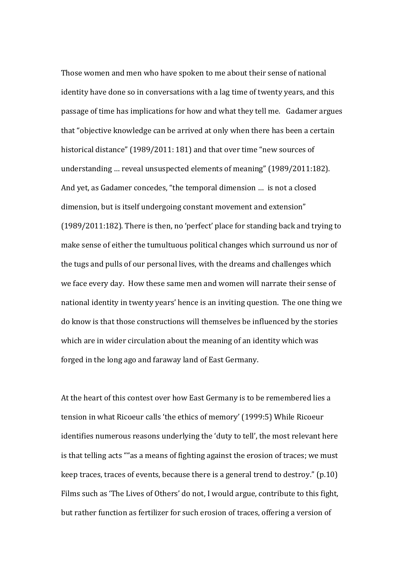Those women and men who have spoken to me about their sense of national identity have done so in conversations with a lag time of twenty years, and this passage of time has implications for how and what they tell me. Gadamer argues that "objective knowledge can be arrived at only when there has been a certain historical distance" (1989/2011: 181) and that over time "new sources of understanding … reveal unsuspected elements of meaning" (1989/2011:182). And yet, as Gadamer concedes, "the temporal dimension … is not a closed dimension, but is itself undergoing constant movement and extension" (1989/2011:182). There is then, no 'perfect' place for standing back and trying to make sense of either the tumultuous political changes which surround us nor of the tugs and pulls of our personal lives, with the dreams and challenges which we face every day. How these same men and women will narrate their sense of national identity in twenty years' hence is an inviting question. The one thing we do know is that those constructions will themselves be influenced by the stories which are in wider circulation about the meaning of an identity which was forged in the long ago and faraway land of East Germany.

At the heart of this contest over how East Germany is to be remembered lies a tension in what Ricoeur calls 'the ethics of memory' (1999:5) While Ricoeur identifies numerous reasons underlying the 'duty to tell', the most relevant here is that telling acts ""as a means of fighting against the erosion of traces; we must keep traces, traces of events, because there is a general trend to destroy." (p.10) Films such as 'The Lives of Others' do not, I would argue, contribute to this fight, but rather function as fertilizer for such erosion of traces, offering a version of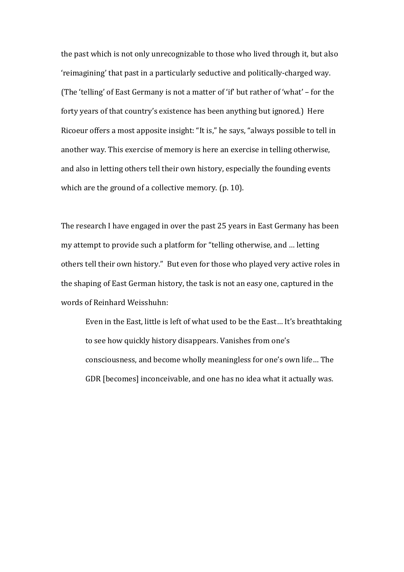the past which is not only unrecognizable to those who lived through it, but also 'reimagining' that past in a particularly seductive and politically-charged way. (The 'telling' of East Germany is not a matter of 'if' but rather of 'what' – for the forty years of that country's existence has been anything but ignored.) Here Ricoeur offers a most apposite insight: "It is," he says, "always possible to tell in another way. This exercise of memory is here an exercise in telling otherwise, and also in letting others tell their own history, especially the founding events which are the ground of a collective memory. (p. 10).

The research I have engaged in over the past 25 years in East Germany has been my attempt to provide such a platform for "telling otherwise, and … letting others tell their own history." But even for those who played very active roles in the shaping of East German history, the task is not an easy one, captured in the words of Reinhard Weisshuhn:

Even in the East, little is left of what used to be the East… It's breathtaking to see how quickly history disappears. Vanishes from one's consciousness, and become wholly meaningless for one's own life… The GDR [becomes] inconceivable, and one has no idea what it actually was.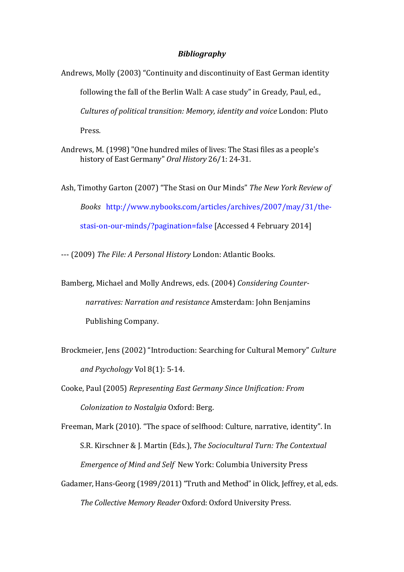# *Bibliography*

- Andrews, Molly (2003) "Continuity and discontinuity of East German identity following the fall of the Berlin Wall: A case study" in Gready, Paul, ed., *Cultures of political transition: Memory, identity and voice* London: Pluto Press*.*
- Andrews, M. (1998) "One hundred miles of lives: The Stasi files as a people's history of East Germany" *Oral History* 26/1: 24-31.

Ash, Timothy Garton (2007) "The Stasi on Our Minds" *The New York Review of Books* [http://www.nybooks.com/articles/archives/2007/may/31/the](http://www.nybooks.com/articles/archives/2007/may/31/the-stasi-on-our-minds/?pagination=false)[stasi-on-our-minds/?pagination=false](http://www.nybooks.com/articles/archives/2007/may/31/the-stasi-on-our-minds/?pagination=false) [Accessed 4 February 2014]

--- (2009) *The File: A Personal History* London: Atlantic Books.

- Bamberg, Michael and Molly Andrews, eds. (2004) *Considering Counternarratives: Narration and resistance* Amsterdam: John Benjamins Publishing Company.
- Brockmeier, Jens (2002) "Introduction: Searching for Cultural Memory" *Culture and Psychology* Vol 8(1): 5-14.
- Cooke, Paul (2005) *Representing East Germany Since Unification: From Colonization to Nostalgia* Oxford: Berg.

Freeman, Mark (2010). "The space of selfhood: Culture, narrative, identity". In S.R. Kirschner & J. Martin (Eds.), *The Sociocultural Turn: The Contextual Emergence of Mind and Self* New York: Columbia University Press

Gadamer, Hans-Georg (1989/2011) "Truth and Method" in Olick, Jeffrey, et al, eds. *The Collective Memory Reader* Oxford: Oxford University Press.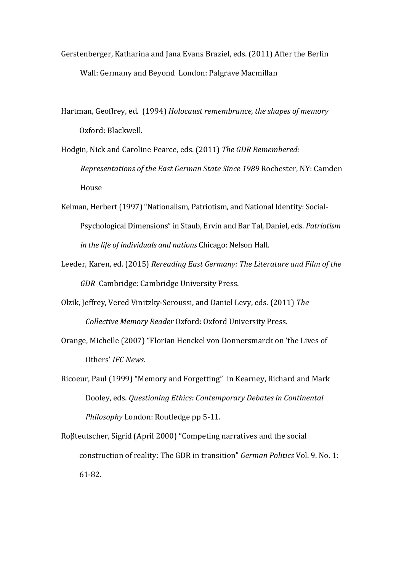- Gerstenberger, Katharina and Jana Evans Braziel, eds. (2011) After the Berlin Wall: Germany and Beyond London: Palgrave Macmillan
- Hartman, Geoffrey, ed. (1994) *Holocaust remembrance, the shapes of memory* Oxford: Blackwell.
- Hodgin, Nick and Caroline Pearce, eds. (2011) *The GDR Remembered: Representations of the East German State Since 1989* Rochester, NY: Camden House
- Kelman, Herbert (1997) "Nationalism, Patriotism, and National Identity: Social-Psychological Dimensions" in Staub, Ervin and Bar Tal, Daniel, eds. *Patriotism in the life of individuals and nations* Chicago: Nelson Hall.
- Leeder, Karen, ed. (2015) *Rereading East Germany: The Literature and Film of the GDR* Cambridge: Cambridge University Press.
- Olzik, Jeffrey, Vered Vinitzky-Seroussi, and Daniel Levy, eds. (2011) *The Collective Memory Reader* Oxford: Oxford University Press.
- Orange, Michelle (2007) "Florian Henckel von Donnersmarck on 'the Lives of Others' *IFC News*.
- Ricoeur, Paul (1999) "Memory and Forgetting" in Kearney, Richard and Mark Dooley, eds. *Questioning Ethics: Contemporary Debates in Continental Philosophy* London: Routledge pp 5-11.
- Roβteutscher, Sigrid (April 2000) "Competing narratives and the social construction of reality: The GDR in transition" *German Politics* Vol. 9. No. 1: 61-82.